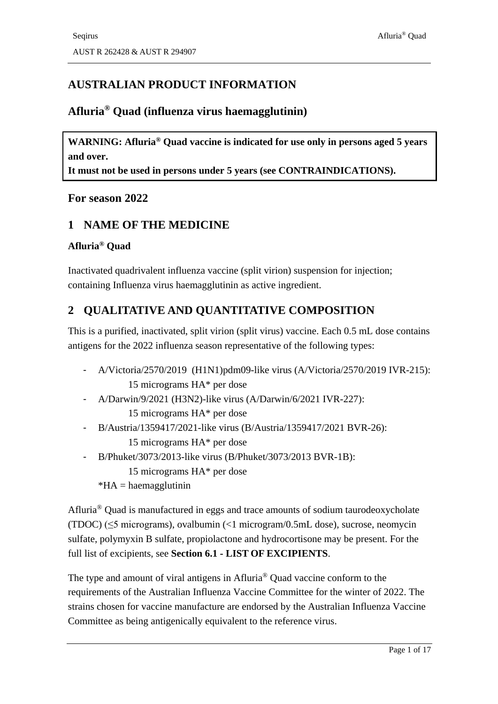# **AUSTRALIAN PRODUCT INFORMATION**

### **Afluria® Quad (influenza virus haemagglutinin)**

**WARNING: Afluria® Quad vaccine is indicated for use only in persons aged 5 years and over.** 

**It must not be used in persons under 5 years (see [CONTRAINDICATIONS\)](#page-2-0).** 

#### **For season 2022**

### **1 NAME OF THE MEDICINE**

#### **Afluria® Quad**

Inactivated quadrivalent influenza vaccine (split virion) suspension for injection; containing Influenza virus haemagglutinin as active ingredient.

# <span id="page-0-0"></span>**2 QUALITATIVE AND QUANTITATIVE COMPOSITION**

This is a purified, inactivated, split virion (split virus) vaccine. Each 0.5 mL dose contains antigens for the 2022 influenza season representative of the following types:

- A/Victoria/2570/2019 (H1N1)pdm09-like virus (A/Victoria/2570/2019 IVR-215): 15 micrograms HA\* per dose
- A/Darwin/9/2021 (H3N2)-like virus (A/Darwin/6/2021 IVR-227): 15 micrograms HA\* per dose
- B/Austria/1359417/2021-like virus (B/Austria/1359417/2021 BVR-26): 15 micrograms HA\* per dose
- B/Phuket/3073/2013-like virus (B/Phuket/3073/2013 BVR-1B): 15 micrograms HA\* per dose
	- $*HA = haemagglutinin$

Afluria® Quad is manufactured in eggs and trace amounts of sodium taurodeoxycholate (TDOC) (≤5 micrograms), ovalbumin (<1 microgram/0.5mL dose), sucrose, neomycin sulfate, polymyxin B sulfate, propiolactone and hydrocortisone may be present. For the full list of excipients, see **Section 6.1 - LIST OF [EXCIPIENTS](#page-14-0)**.

The type and amount of viral antigens in Afluria® Quad vaccine conform to the requirements of the Australian Influenza Vaccine Committee for the winter of 2022. The strains chosen for vaccine manufacture are endorsed by the Australian Influenza Vaccine Committee as being antigenically equivalent to the reference virus.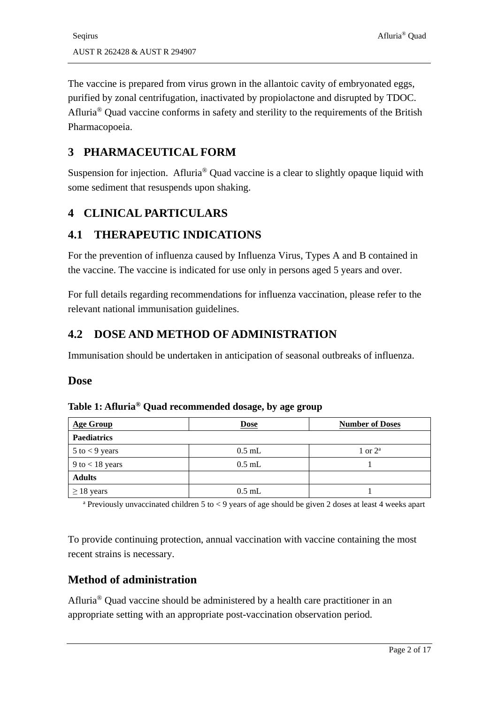The vaccine is prepared from virus grown in the allantoic cavity of embryonated eggs, purified by zonal centrifugation, inactivated by propiolactone and disrupted by TDOC. Afluria® Quad vaccine conforms in safety and sterility to the requirements of the British Pharmacopoeia.

### <span id="page-1-0"></span>**3 PHARMACEUTICAL FORM**

Suspension for injection. Afluria® Quad vaccine is a clear to slightly opaque liquid with some sediment that resuspends upon shaking.

# **4 CLINICAL PARTICULARS**

# **4.1 THERAPEUTIC INDICATIONS**

For the prevention of influenza caused by Influenza Virus, Types A and B contained in the vaccine. The vaccine is indicated for use only in persons aged 5 years and over.

For full details regarding recommendations for influenza vaccination, please refer to the relevant national immunisation guidelines.

# **4.2 DOSE AND METHOD OF ADMINISTRATION**

Immunisation should be undertaken in anticipation of seasonal outbreaks of influenza.

#### **Dose**

| <b>Age Group</b>    | <b>Dose</b> | <b>Number of Doses</b> |
|---------------------|-------------|------------------------|
| <b>Paediatrics</b>  |             |                        |
| $5$ to $<$ 9 years  | $0.5$ mL    | 1 or $2^a$             |
| $9$ to $< 18$ years | $0.5$ mL    |                        |
| <b>Adults</b>       |             |                        |
| $\geq$ 18 years     | $0.5$ mL    |                        |

#### **Table 1: Afluria® Quad recommended dosage, by age group**

<sup>a</sup> Previously unvaccinated children 5 to  $\lt 9$  years of age should be given 2 doses at least 4 weeks apart

To provide continuing protection, annual vaccination with vaccine containing the most recent strains is necessary.

# **Method of administration**

Afluria® Quad vaccine should be administered by a health care practitioner in an appropriate setting with an appropriate post-vaccination observation period.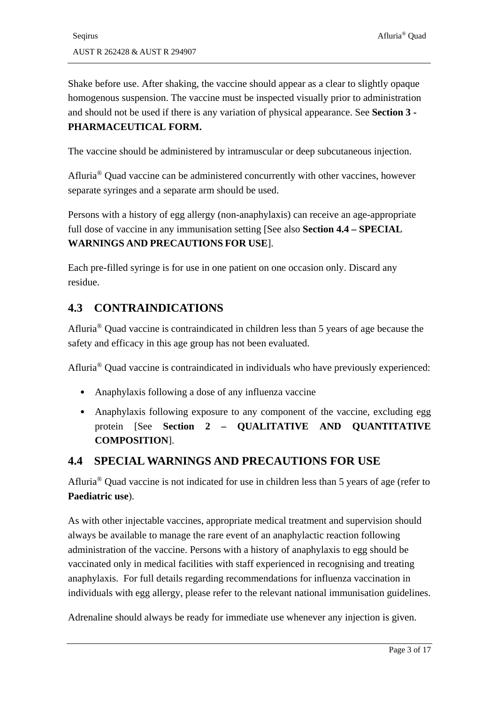Shake before use. After shaking, the vaccine should appear as a clear to slightly opaque homogenous suspension. The vaccine must be inspected visually prior to administration and should not be used if there is any variation of physical appearance. See **Section 3 - [PHARMACEUTICAL FORM.](#page-1-0)**

The vaccine should be administered by intramuscular or deep subcutaneous injection.

Afluria® Quad vaccine can be administered concurrently with other vaccines, however separate syringes and a separate arm should be used.

Persons with a history of egg allergy (non-anaphylaxis) can receive an age-appropriate full dose of vaccine in any immunisation setting [See also **Section 4.4 – [SPECIAL](#page-2-1) WARNINGS AND [PRECAUTIONS](#page-2-1) FOR USE**].

Each pre-filled syringe is for use in one patient on one occasion only. Discard any residue.

# <span id="page-2-0"></span>**4.3 CONTRAINDICATIONS**

Afluria® Quad vaccine is contraindicated in children less than 5 years of age because the safety and efficacy in this age group has not been evaluated.

Afluria® Quad vaccine is contraindicated in individuals who have previously experienced:

- Anaphylaxis following a dose of any influenza vaccine
- Anaphylaxis following exposure to any component of the vaccine, excluding egg protein [See **Section 2 – [QUALITATIVE AND QUANTITATIVE](#page-0-0)  [COMPOSITION](#page-0-0)**].

### <span id="page-2-1"></span>**4.4 SPECIAL WARNINGS AND PRECAUTIONS FOR USE**

Afluria® Quad vaccine is not indicated for use in children less than 5 years of age (refer to **Paediatric use**).

As with other injectable vaccines, appropriate medical treatment and supervision should always be available to manage the rare event of an anaphylactic reaction following administration of the vaccine. Persons with a history of anaphylaxis to egg should be vaccinated only in medical facilities with staff experienced in recognising and treating anaphylaxis. For full details regarding recommendations for influenza vaccination in individuals with egg allergy, please refer to the relevant national immunisation guidelines.

Adrenaline should always be ready for immediate use whenever any injection is given.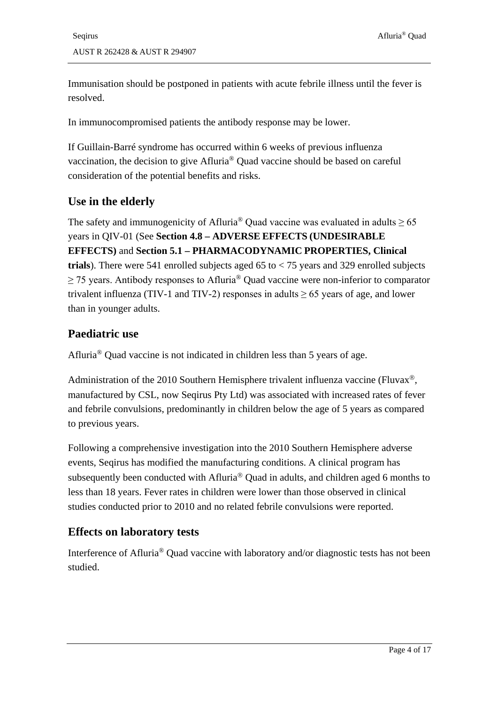Immunisation should be postponed in patients with acute febrile illness until the fever is resolved.

In immunocompromised patients the antibody response may be lower.

If Guillain-Barré syndrome has occurred within 6 weeks of previous influenza vaccination, the decision to give Afluria® Quad vaccine should be based on careful consideration of the potential benefits and risks.

### **Use in the elderly**

The safety and immunogenicity of Afluria<sup>®</sup> Quad vaccine was evaluated in adults  $\geq 65$ years in QIV-01 (See **Section 4.8 – ADVERSE EFFECTS [\(UNDESIRABLE](#page-4-0) [EFFECTS\)](#page-4-0)** and **Section 5.1 – [PHARMACODYNAMIC](#page-9-0) PROPERTIES, Clinical trials**). There were 541 enrolled subjects aged 65 to < 75 years and 329 enrolled subjects  $\geq$  75 years. Antibody responses to Afluria<sup>®</sup> Quad vaccine were non-inferior to comparator trivalent influenza (TIV-1 and TIV-2) responses in adults  $\geq$  65 years of age, and lower than in younger adults.

### **Paediatric use**

Afluria® Quad vaccine is not indicated in children less than 5 years of age.

Administration of the 2010 Southern Hemisphere trivalent influenza vaccine (Fluvax<sup>®</sup>, manufactured by CSL, now Seqirus Pty Ltd) was associated with increased rates of fever and febrile convulsions, predominantly in children below the age of 5 years as compared to previous years.

Following a comprehensive investigation into the 2010 Southern Hemisphere adverse events, Seqirus has modified the manufacturing conditions. A clinical program has subsequently been conducted with Afluria<sup>®</sup> Quad in adults, and children aged 6 months to less than 18 years. Fever rates in children were lower than those observed in clinical studies conducted prior to 2010 and no related febrile convulsions were reported.

# **Effects on laboratory tests**

Interference of Afluria® Quad vaccine with laboratory and/or diagnostic tests has not been studied.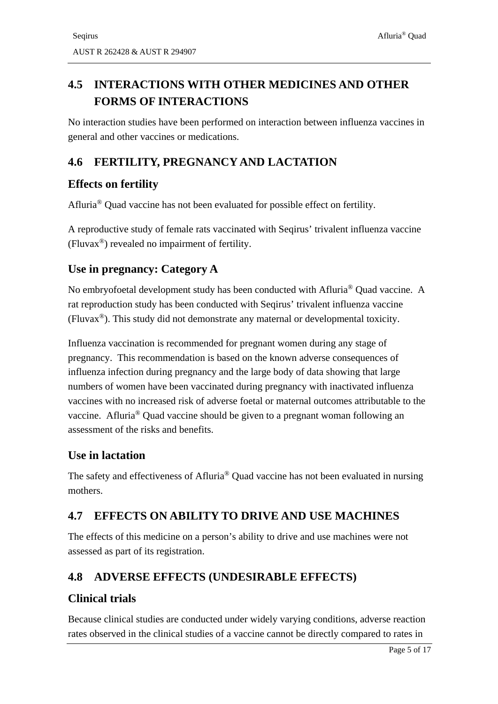# **4.5 INTERACTIONS WITH OTHER MEDICINES AND OTHER**

No interaction studies have been performed on interaction between influenza vaccines in general and other vaccines or medications.

# **4.6 FERTILITY, PREGNANCY AND LACTATION**

# **Effects on fertility**

Afluria® Quad vaccine has not been evaluated for possible effect on fertility.

A reproductive study of female rats vaccinated with Seqirus' trivalent influenza vaccine (Fluvax®) revealed no impairment of fertility.

# **Use in pregnancy: Category A**

No embryofoetal development study has been conducted with Afluria® Quad vaccine. A rat reproduction study has been conducted with Seqirus' trivalent influenza vaccine (Fluvax®). This study did not demonstrate any maternal or developmental toxicity.

Influenza vaccination is recommended for pregnant women during any stage of pregnancy. This recommendation is based on the known adverse consequences of influenza infection during pregnancy and the large body of data showing that large numbers of women have been vaccinated during pregnancy with inactivated influenza vaccines with no increased risk of adverse foetal or maternal outcomes attributable to the vaccine. Afluria® Quad vaccine should be given to a pregnant woman following an assessment of the risks and benefits.

# **Use in lactation**

The safety and effectiveness of Afluria® Quad vaccine has not been evaluated in nursing mothers.

# **4.7 EFFECTS ON ABILITY TO DRIVE AND USE MACHINES**

The effects of this medicine on a person's ability to drive and use machines were not assessed as part of its registration.

# <span id="page-4-0"></span>**4.8 ADVERSE EFFECTS (UNDESIRABLE EFFECTS)**

# **Clinical trials**

Because clinical studies are conducted under widely varying conditions, adverse reaction rates observed in the clinical studies of a vaccine cannot be directly compared to rates in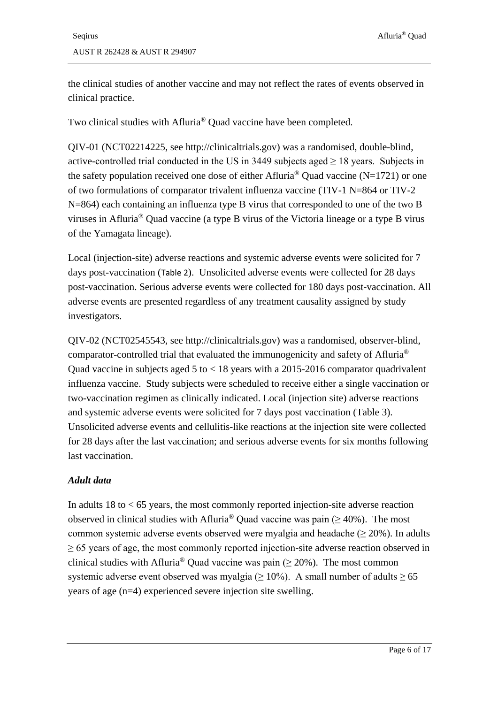the clinical studies of another vaccine and may not reflect the rates of events observed in clinical practice.

Two clinical studies with Afluria® Quad vaccine have been completed.

QIV-01 (NCT02214225, see http://clinicaltrials.gov) was a randomised, double-blind, active-controlled trial conducted in the US in 3449 subjects aged  $\geq$  18 years. Subjects in the safety population received one dose of either Afluria<sup>®</sup> Quad vaccine (N=1721) or one of two formulations of comparator trivalent influenza vaccine (TIV-1 N=864 or TIV-2 N=864) each containing an influenza type B virus that corresponded to one of the two B viruses in Afluria® Quad vaccine (a type B virus of the Victoria lineage or a type B virus of the Yamagata lineage).

Local (injection-site) adverse reactions and systemic adverse events were solicited for 7 days post-vaccination ([Table 2](#page-6-0)). Unsolicited adverse events were collected for 28 days post-vaccination. Serious adverse events were collected for 180 days post-vaccination. All adverse events are presented regardless of any treatment causality assigned by study investigators.

QIV-02 (NCT02545543, see http://clinicaltrials.gov) was a randomised, observer-blind, comparator-controlled trial that evaluated the immunogenicity and safety of Afluria® Quad vaccine in subjects aged 5 to < 18 years with a 2015-2016 comparator quadrivalent influenza vaccine. Study subjects were scheduled to receive either a single vaccination or two-vaccination regimen as clinically indicated. Local (injection site) adverse reactions and systemic adverse events were solicited for 7 days post vaccination [\(Table 3\)](#page-7-0). Unsolicited adverse events and cellulitis-like reactions at the injection site were collected for 28 days after the last vaccination; and serious adverse events for six months following last vaccination.

#### *Adult data*

In adults  $18$  to  $\lt 65$  years, the most commonly reported injection-site adverse reaction observed in clinical studies with Afluria<sup>®</sup> Quad vaccine was pain ( $> 40\%$ ). The most common systemic adverse events observed were myalgia and headache ( $\geq 20\%$ ). In adults  $\geq 65$  years of age, the most commonly reported injection-site adverse reaction observed in clinical studies with Afluria<sup>®</sup> Quad vaccine was pain ( $\geq$  20%). The most common systemic adverse event observed was myalgia ( $\geq 10\%$ ). A small number of adults  $\geq 65$ years of age (n=4) experienced severe injection site swelling.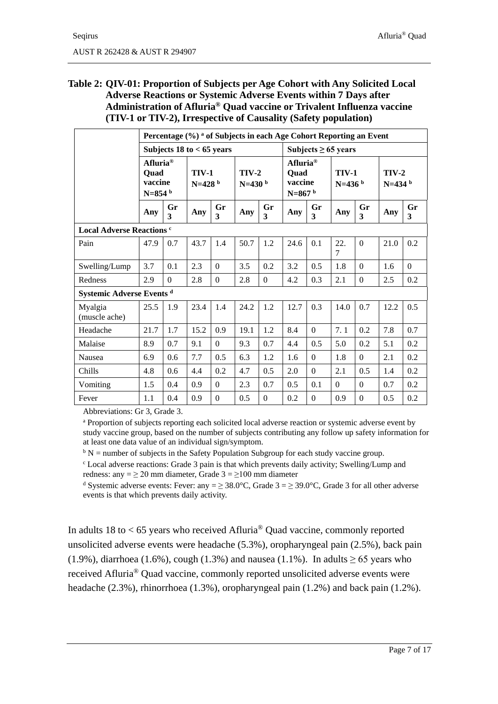#### <span id="page-6-0"></span>**Table 2: QIV-01: Proportion of Subjects per Age Cohort with Any Solicited Local Adverse Reactions or Systemic Adverse Events within 7 Days after Administration of Afluria® Quad vaccine or Trivalent Influenza vaccine (TIV-1 or TIV-2), Irrespective of Causality (Safety population)**

|                                  | Percentage (%) <sup>a</sup> of Subjects in each Age Cohort Reporting an Event |                               |                                                             |                  |      |                                                     |      |                          |          |                      |      |          |
|----------------------------------|-------------------------------------------------------------------------------|-------------------------------|-------------------------------------------------------------|------------------|------|-----------------------------------------------------|------|--------------------------|----------|----------------------|------|----------|
|                                  |                                                                               | Subjects $18$ to $< 65$ years |                                                             |                  |      |                                                     |      | Subjects $\geq 65$ years |          |                      |      |          |
|                                  | Afluria <sup>®</sup><br><b>Quad</b><br>vaccine<br>$N=854$ <sup>b</sup>        |                               | <b>TIV-1</b><br>$TIV-2$<br>$N=428b$<br>$N=430$ <sup>b</sup> |                  |      | Afluria <sup>®</sup><br>Ouad<br>vaccine<br>$N=867b$ |      | <b>TIV-1</b><br>$N=436b$ |          | $TIV-2$<br>$N=434b$  |      |          |
|                                  | Any                                                                           | Gr<br>3                       | Any                                                         | Gr<br>3          | Any  | Gr<br>$\mathbf{3}$                                  | Any  | Gr<br>$\mathbf{3}$       | Any      | Gr<br>$\overline{3}$ | Any  | Gr<br>3  |
| <b>Local Adverse Reactions c</b> |                                                                               |                               |                                                             |                  |      |                                                     |      |                          |          |                      |      |          |
| Pain                             | 47.9                                                                          | 0.7                           | 43.7                                                        | 1.4              | 50.7 | 1.2                                                 | 24.6 | 0.1                      | 22.<br>7 | $\Omega$             | 21.0 | 0.2      |
| Swelling/Lump                    | 3.7                                                                           | 0.1                           | 2.3                                                         | $\Omega$         | 3.5  | 0.2                                                 | 3.2  | 0.5                      | 1.8      | $\Omega$             | 1.6  | $\Omega$ |
| Redness                          | 2.9                                                                           | $\Omega$                      | 2.8                                                         | $\Omega$         | 2.8  | $\Omega$                                            | 4.2  | 0.3                      | 2.1      | $\Omega$             | 2.5  | 0.2      |
|                                  | Systemic Adverse Events <sup>d</sup>                                          |                               |                                                             |                  |      |                                                     |      |                          |          |                      |      |          |
| Myalgia<br>(muscle ache)         | 25.5                                                                          | 1.9                           | 23.4                                                        | 1.4              | 24.2 | 1.2                                                 | 12.7 | 0.3                      | 14.0     | 0.7                  | 12.2 | 0.5      |
| Headache                         | 21.7                                                                          | 1.7                           | 15.2                                                        | 0.9              | 19.1 | 1.2                                                 | 8.4  | $\mathbf{0}$             | 7.1      | 0.2                  | 7.8  | 0.7      |
| Malaise                          | 8.9                                                                           | 0.7                           | 9.1                                                         | $\mathbf{0}$     | 9.3  | 0.7                                                 | 4.4  | 0.5                      | 5.0      | 0.2                  | 5.1  | 0.2      |
| Nausea                           | 6.9                                                                           | 0.6                           | 7.7                                                         | 0.5              | 6.3  | 1.2                                                 | 1.6  | $\Omega$                 | 1.8      | $\Omega$             | 2.1  | 0.2      |
| Chills                           | 4.8                                                                           | 0.6                           | 4.4                                                         | 0.2              | 4.7  | 0.5                                                 | 2.0  | $\Omega$                 | 2.1      | 0.5                  | 1.4  | 0.2      |
| Vomiting                         | 1.5                                                                           | 0.4                           | 0.9                                                         | $\Omega$         | 2.3  | 0.7                                                 | 0.5  | 0.1                      | $\Omega$ | $\overline{0}$       | 0.7  | 0.2      |
| Fever                            | 1.1                                                                           | 0.4                           | 0.9                                                         | $\boldsymbol{0}$ | 0.5  | $\boldsymbol{0}$                                    | 0.2  | $\Omega$                 | 0.9      | $\theta$             | 0.5  | 0.2      |

Abbreviations: Gr 3, Grade 3.

<sup>a</sup> Proportion of subjects reporting each solicited local adverse reaction or systemic adverse event by study vaccine group, based on the number of subjects contributing any follow up safety information for at least one data value of an individual sign/symptom.

 $b$  N = number of subjects in the Safety Population Subgroup for each study vaccine group.

<sup>c</sup> Local adverse reactions: Grade 3 pain is that which prevents daily activity; Swelling/Lump and redness: any =  $\geq$  20 mm diameter, Grade 3 =  $\geq$  100 mm diameter

<sup>d</sup> Systemic adverse events: Fever: any =  $\geq$  38.0°C, Grade 3 =  $\geq$  39.0°C, Grade 3 for all other adverse events is that which prevents daily activity.

In adults 18 to  $<$  65 years who received Afluria<sup>®</sup> Quad vaccine, commonly reported unsolicited adverse events were headache (5.3%), oropharyngeal pain (2.5%), back pain (1.9%), diarrhoea (1.6%), cough (1.3%) and nausea (1.1%). In adults  $\geq 65$  years who received Afluria® Quad vaccine, commonly reported unsolicited adverse events were headache (2.3%), rhinorrhoea (1.3%), oropharyngeal pain (1.2%) and back pain (1.2%).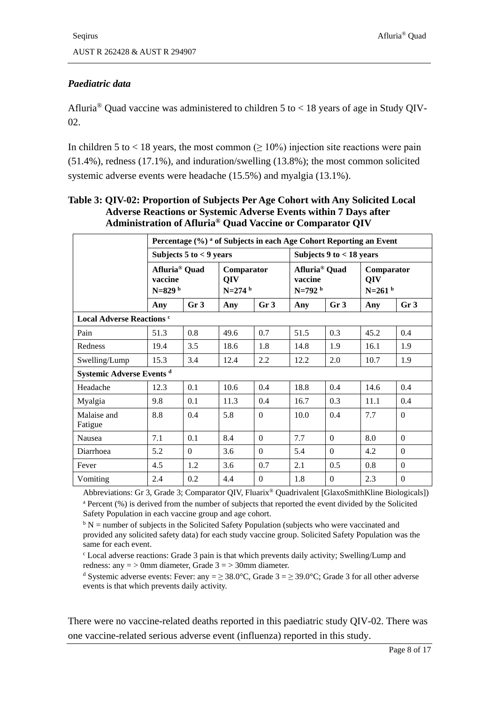#### *Paediatric data*

Afluria<sup>®</sup> Quad vaccine was administered to children 5 to < 18 years of age in Study QIV-02.

In children 5 to < 18 years, the most common ( $\geq 10\%$ ) injection site reactions were pain (51.4%), redness (17.1%), and induration/swelling (13.8%); the most common solicited systemic adverse events were headache (15.5%) and myalgia (13.1%).

|                                  | Percentage (%) <sup>a</sup> of Subjects in each Age Cohort Reporting an Event |                             |                                |                 |                                                            |                  |                               |                 |  |
|----------------------------------|-------------------------------------------------------------------------------|-----------------------------|--------------------------------|-----------------|------------------------------------------------------------|------------------|-------------------------------|-----------------|--|
|                                  |                                                                               | Subjects $5$ to $<$ 9 years |                                |                 | Subjects $9$ to $<$ 18 years                               |                  |                               |                 |  |
|                                  | Afluria <sup>®</sup> Quad<br>vaccine<br>$N=829$ b                             |                             | Comparator<br>QIV<br>$N=274$ b |                 | Afluria <sup>®</sup> Quad<br>vaccine<br>N=792 <sup>b</sup> |                  | Comparator<br>QIV<br>$N=261b$ |                 |  |
|                                  | Any                                                                           | Gr <sub>3</sub>             | Any                            | Gr <sub>3</sub> | Any                                                        | Gr <sub>3</sub>  | Any                           | Gr <sub>3</sub> |  |
| <b>Local Adverse Reactions c</b> |                                                                               |                             |                                |                 |                                                            |                  |                               |                 |  |
| Pain                             | 51.3                                                                          | 0.8                         | 49.6                           | 0.7             | 51.5                                                       | 0.3              | 45.2                          | 0.4             |  |
| Redness                          | 19.4                                                                          | 3.5                         | 18.6                           | 1.8             | 14.8                                                       | 1.9              | 16.1                          | 1.9             |  |
| Swelling/Lump                    | 15.3                                                                          | 3.4                         | 12.4                           | 2.2             | 12.2                                                       | 2.0              | 10.7                          | 1.9             |  |
|                                  | Systemic Adverse Events <sup>d</sup>                                          |                             |                                |                 |                                                            |                  |                               |                 |  |
| Headache                         | 12.3                                                                          | 0.1                         | 10.6                           | 0.4             | 18.8                                                       | 0.4              | 14.6                          | 0.4             |  |
| Myalgia                          | 9.8                                                                           | 0.1                         | 11.3                           | 0.4             | 16.7                                                       | 0.3              | 11.1                          | 0.4             |  |
| Malaise and<br>Fatigue           | 8.8                                                                           | 0.4                         | 5.8                            | $\Omega$        | 10.0                                                       | 0.4              | 7.7                           | $\Omega$        |  |
| Nausea                           | 7.1                                                                           | 0.1                         | 8.4                            | $\Omega$        | 7.7                                                        | $\Omega$         | 8.0                           | $\Omega$        |  |
| Diarrhoea                        | 5.2                                                                           | $\mathbf{0}$                | 3.6                            | $\Omega$        | 5.4                                                        | $\Omega$         | 4.2                           | $\Omega$        |  |
| Fever                            | 4.5                                                                           | 1.2                         | 3.6                            | 0.7             | 2.1                                                        | 0.5              | 0.8                           | $\Omega$        |  |
| Vomiting                         | 2.4                                                                           | 0.2                         | 4.4                            | $\Omega$        | 1.8                                                        | $\boldsymbol{0}$ | 2.3                           | $\Omega$        |  |

<span id="page-7-0"></span>**Table 3: QIV-02: Proportion of Subjects Per Age Cohort with Any Solicited Local Adverse Reactions or Systemic Adverse Events within 7 Days after Administration of Afluria® Quad Vaccine or Comparator QIV** 

Abbreviations: Gr 3, Grade 3; Comparator QIV, Fluarix® Quadrivalent [GlaxoSmithKline Biologicals]) <sup>a</sup> Percent (%) is derived from the number of subjects that reported the event divided by the Solicited Safety Population in each vaccine group and age cohort.

 $b$  N = number of subjects in the Solicited Safety Population (subjects who were vaccinated and provided any solicited safety data) for each study vaccine group. Solicited Safety Population was the same for each event.

 $c$  Local adverse reactions: Grade 3 pain is that which prevents daily activity; Swelling/Lump and redness: any  $=$  > 0mm diameter, Grade  $3 =$  > 30mm diameter.

<sup>d</sup> Systemic adverse events: Fever: any =  $\geq$  38.0°C, Grade 3 =  $\geq$  39.0°C; Grade 3 for all other adverse events is that which prevents daily activity.

There were no vaccine-related deaths reported in this paediatric study QIV-02. There was one vaccine-related serious adverse event (influenza) reported in this study.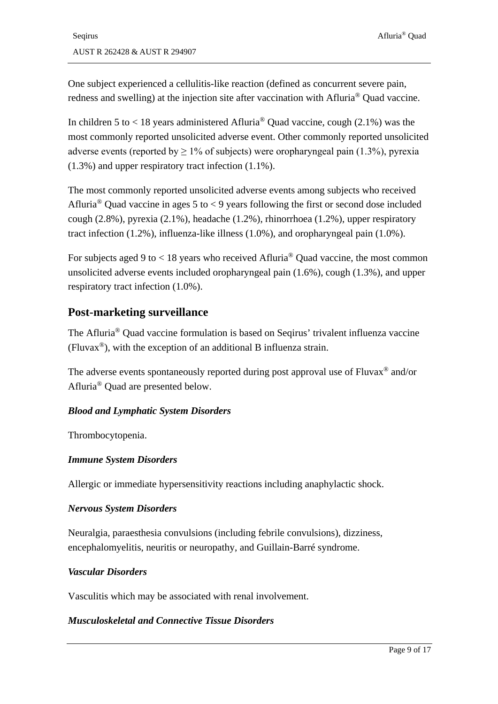One subject experienced a cellulitis-like reaction (defined as concurrent severe pain, redness and swelling) at the injection site after vaccination with Afluria® Quad vaccine.

In children 5 to  $\lt$  18 years administered Afluria<sup>®</sup> Quad vaccine, cough (2.1%) was the most commonly reported unsolicited adverse event. Other commonly reported unsolicited adverse events (reported by  $\geq 1\%$  of subjects) were oropharyngeal pain (1.3%), pyrexia (1.3%) and upper respiratory tract infection (1.1%).

The most commonly reported unsolicited adverse events among subjects who received Afluria<sup>®</sup> Quad vaccine in ages 5 to < 9 years following the first or second dose included cough (2.8%), pyrexia (2.1%), headache (1.2%), rhinorrhoea (1.2%), upper respiratory tract infection (1.2%), influenza-like illness (1.0%), and oropharyngeal pain (1.0%).

For subjects aged 9 to  $< 18$  years who received Afluria<sup>®</sup> Quad vaccine, the most common unsolicited adverse events included oropharyngeal pain (1.6%), cough (1.3%), and upper respiratory tract infection (1.0%).

### **Post-marketing surveillance**

The Afluria® Quad vaccine formulation is based on Seqirus' trivalent influenza vaccine (Fluvax®), with the exception of an additional B influenza strain.

The adverse events spontaneously reported during post approval use of Fluvax<sup>®</sup> and/or Afluria® Quad are presented below.

#### *Blood and Lymphatic System Disorders*

Thrombocytopenia.

#### *Immune System Disorders*

Allergic or immediate hypersensitivity reactions including anaphylactic shock.

#### *Nervous System Disorders*

Neuralgia, paraesthesia convulsions (including febrile convulsions), dizziness, encephalomyelitis, neuritis or neuropathy, and Guillain-Barré syndrome.

#### *Vascular Disorders*

Vasculitis which may be associated with renal involvement.

#### *Musculoskeletal and Connective Tissue Disorders*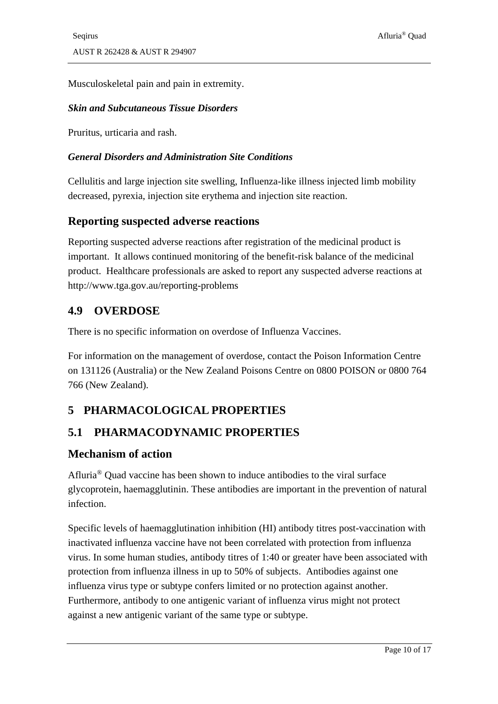Musculoskeletal pain and pain in extremity.

#### *Skin and Subcutaneous Tissue Disorders*

Pruritus, urticaria and rash.

#### *General Disorders and Administration Site Conditions*

Cellulitis and large injection site swelling, Influenza-like illness injected limb mobility decreased, pyrexia, injection site erythema and injection site reaction.

#### **Reporting suspected adverse reactions**

Reporting suspected adverse reactions after registration of the medicinal product is important. It allows continued monitoring of the benefit-risk balance of the medicinal product. Healthcare professionals are asked to report any suspected adverse reactions at http://www.tga.gov.au/reporting-problems

### **4.9 OVERDOSE**

There is no specific information on overdose of Influenza Vaccines.

For information on the management of overdose, contact the Poison Information Centre on 131126 (Australia) or the New Zealand Poisons Centre on 0800 POISON or 0800 764 766 (New Zealand).

# **5 PHARMACOLOGICAL PROPERTIES**

### <span id="page-9-0"></span>**5.1 PHARMACODYNAMIC PROPERTIES**

#### **Mechanism of action**

Afluria® Quad vaccine has been shown to induce antibodies to the viral surface glycoprotein, haemagglutinin. These antibodies are important in the prevention of natural infection.

Specific levels of haemagglutination inhibition (HI) antibody titres post-vaccination with inactivated influenza vaccine have not been correlated with protection from influenza virus. In some human studies, antibody titres of 1:40 or greater have been associated with protection from influenza illness in up to 50% of subjects. Antibodies against one influenza virus type or subtype confers limited or no protection against another. Furthermore, antibody to one antigenic variant of influenza virus might not protect against a new antigenic variant of the same type or subtype.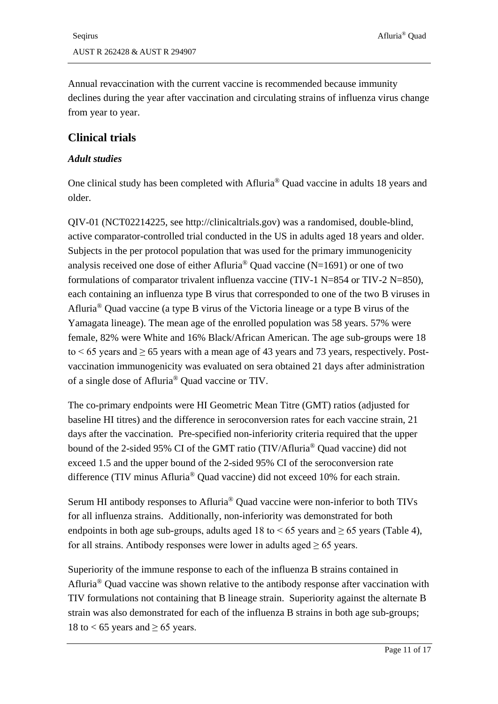Annual revaccination with the current vaccine is recommended because immunity declines during the year after vaccination and circulating strains of influenza virus change from year to year.

### **Clinical trials**

#### *Adult studies*

One clinical study has been completed with Afluria® Quad vaccine in adults 18 years and older.

QIV-01 (NCT02214225, see http://clinicaltrials.gov) was a randomised, double-blind, active comparator-controlled trial conducted in the US in adults aged 18 years and older. Subjects in the per protocol population that was used for the primary immunogenicity analysis received one dose of either Afluria<sup>®</sup> Quad vaccine (N=1691) or one of two formulations of comparator trivalent influenza vaccine (TIV-1 N=854 or TIV-2 N=850), each containing an influenza type B virus that corresponded to one of the two B viruses in Afluria® Quad vaccine (a type B virus of the Victoria lineage or a type B virus of the Yamagata lineage). The mean age of the enrolled population was 58 years. 57% were female, 82% were White and 16% Black/African American. The age sub-groups were 18 to  $\leq 65$  years and  $\geq 65$  years with a mean age of 43 years and 73 years, respectively. Postvaccination immunogenicity was evaluated on sera obtained 21 days after administration of a single dose of Afluria® Quad vaccine or TIV.

The co-primary endpoints were HI Geometric Mean Titre (GMT) ratios (adjusted for baseline HI titres) and the difference in seroconversion rates for each vaccine strain, 21 days after the vaccination. Pre-specified non-inferiority criteria required that the upper bound of the 2-sided 95% CI of the GMT ratio (TIV/Afluria® Quad vaccine) did not exceed 1.5 and the upper bound of the 2-sided 95% CI of the seroconversion rate difference (TIV minus Afluria® Quad vaccine) did not exceed 10% for each strain.

Serum HI antibody responses to Afluria® Quad vaccine were non-inferior to both TIVs for all influenza strains. Additionally, non-inferiority was demonstrated for both endpoints in both age sub-groups, adults aged 18 to  $< 65$  years and  $\geq 65$  years [\(Table 4\)](#page-11-0), for all strains. Antibody responses were lower in adults aged  $\geq 65$  years.

Superiority of the immune response to each of the influenza B strains contained in Afluria® Quad vaccine was shown relative to the antibody response after vaccination with TIV formulations not containing that B lineage strain. Superiority against the alternate B strain was also demonstrated for each of the influenza B strains in both age sub-groups; 18 to < 65 years and  $\geq$  65 years.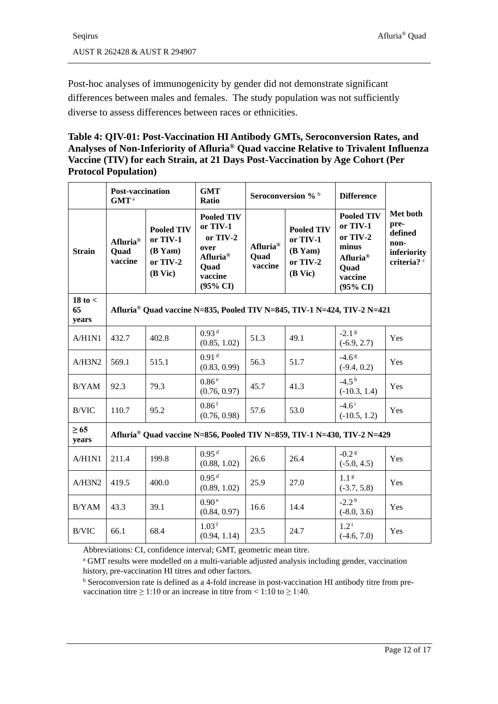Post-hoc analyses of immunogenicity by gender did not demonstrate significant differences between males and females. The study population was not sufficiently diverse to assess differences between races or ethnicities.

#### <span id="page-11-0"></span>**Table 4: QIV-01: Post-Vaccination HI Antibody GMTs, Seroconversion Rates, and Analyses of Non-Inferiority of Afluria® Quad vaccine Relative to Trivalent Influenza Vaccine (TIV) for each Strain, at 21 Days Post-Vaccination by Age Cohort (Per Protocol Population)**

|                            | <b>Post-vaccination</b><br>$\mathbf{GMT}^{\,a}$ |                                                                          | <b>GMT</b><br>Ratio                                                                                                 |                             | Seroconversion % b                                                            | <b>Difference</b>                                                                                                    |                                                                   |
|----------------------------|-------------------------------------------------|--------------------------------------------------------------------------|---------------------------------------------------------------------------------------------------------------------|-----------------------------|-------------------------------------------------------------------------------|----------------------------------------------------------------------------------------------------------------------|-------------------------------------------------------------------|
| <b>Strain</b>              | Afluria <sup>®</sup><br><b>Quad</b><br>vaccine  | <b>Pooled TIV</b><br>or TIV-1<br>$(B \text{Yam})$<br>or TIV-2<br>(B Vic) | <b>Pooled TIV</b><br>or TIV-1<br>or TIV-2<br>over<br>Afluria <sup>®</sup><br>Quad<br>vaccine<br>$(95\% \text{ CI})$ | Afluria®<br>Ouad<br>vaccine | <b>Pooled TIV</b><br>or TIV-1<br>$(B \text{Yam})$<br>or TIV-2<br>$(B$ Vic $)$ | <b>Pooled TIV</b><br>or TIV-1<br>or TIV-2<br>minus<br>Afluria <sup>®</sup><br>Quad<br>vaccine<br>$(95\% \text{ CI})$ | Met both<br>pre-<br>defined<br>non-<br>inferiority<br>criteria? c |
| $18$ to $<$<br>65<br>years |                                                 |                                                                          |                                                                                                                     |                             |                                                                               | Afluria <sup>®</sup> Quad vaccine N=835, Pooled TIV N=845, TIV-1 N=424, TIV-2 N=421                                  |                                                                   |
| A/H1N1                     | 432.7                                           | 402.8                                                                    | 0.93 <sup>d</sup><br>(0.85, 1.02)                                                                                   | 51.3                        | 49.1                                                                          | $-2.1g$<br>$(-6.9, 2.7)$                                                                                             | Yes                                                               |
| A/H3N2                     | 569.1                                           | 515.1                                                                    | 0.91 <sup>d</sup><br>(0.83, 0.99)                                                                                   | 56.3                        | 51.7                                                                          | $-4.6g$<br>$(-9.4, 0.2)$                                                                                             | Yes                                                               |
| B/YAM                      | 92.3                                            | 79.3                                                                     | 0.86 <sup>e</sup><br>(0.76, 0.97)                                                                                   | 45.7                        | 41.3                                                                          | $-4.5h$<br>$(-10.3, 1.4)$                                                                                            | Yes                                                               |
| <b>B/VIC</b>               | 110.7                                           | 95.2                                                                     | $0.86$ <sup>f</sup><br>(0.76, 0.98)                                                                                 | 57.6                        | 53.0                                                                          | $-4.6^{\mathrm{i}}$<br>$(-10.5, 1.2)$                                                                                | Yes                                                               |
| $\geq 65$<br>years         |                                                 |                                                                          |                                                                                                                     |                             |                                                                               | Afluria <sup>®</sup> Quad vaccine N=856, Pooled TIV N=859, TIV-1 N=430, TIV-2 N=429                                  |                                                                   |
| A/H1N1                     | 211.4                                           | 199.8                                                                    | 0.95 <sup>d</sup><br>(0.88, 1.02)                                                                                   | 26.6                        | 26.4                                                                          | $-0.2g$<br>$(-5.0, 4.5)$                                                                                             | Yes                                                               |
| A/H3N2                     | 419.5                                           | 400.0                                                                    | 0.95 <sup>d</sup><br>(0.89, 1.02)                                                                                   | 25.9                        | 27.0                                                                          | 1.1 <sup>g</sup><br>$(-3.7, 5.8)$                                                                                    | Yes                                                               |
| B/YAM                      | 43.3                                            | 39.1                                                                     | 0.90 <sup>e</sup><br>(0.84, 0.97)                                                                                   | 16.6                        | 14.4                                                                          | $-2.2h$<br>$(-8.0, 3.6)$                                                                                             | Yes                                                               |
| B/VIC                      | 66.1                                            | 68.4                                                                     | 1.03 <sup>f</sup><br>(0.94, 1.14)                                                                                   | 23.5                        | 24.7                                                                          | $1.2^{\mathrm{i}}$<br>$(-4.6, 7.0)$                                                                                  | Yes                                                               |

Abbreviations: CI, confidence interval; GMT, geometric mean titre.

<sup>a</sup> GMT results were modelled on a multi-variable adjusted analysis including gender, vaccination history, pre-vaccination HI titres and other factors.

<sup>b</sup> Seroconversion rate is defined as a 4-fold increase in post-vaccination HI antibody titre from prevaccination titre  $\geq 1:10$  or an increase in titre from < 1:10 to  $\geq 1:40$ .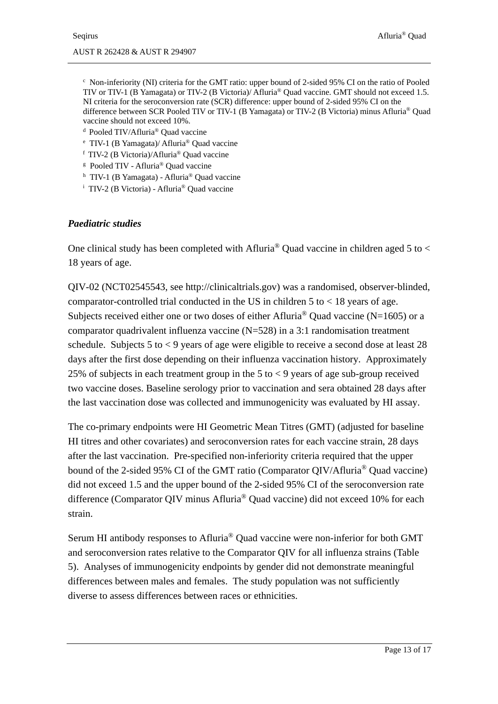$c$  Non-inferiority (NI) criteria for the GMT ratio: upper bound of 2-sided 95% CI on the ratio of Pooled TIV or TIV-1 (B Yamagata) or TIV-2 (B Victoria)/ Afluria® Quad vaccine. GMT should not exceed 1.5. NI criteria for the seroconversion rate (SCR) difference: upper bound of 2-sided 95% CI on the difference between SCR Pooled TIV or TIV-1 (B Yamagata) or TIV-2 (B Victoria) minus Afluria® Quad vaccine should not exceed 10%.<br><sup>d</sup> Pooled TIV/Afluria® Quad vaccine

- 
- <sup>e</sup> TIV-1 (B Yamagata)/ Afluria® Quad vaccine
- <sup>f</sup> TIV-2 (B Victoria)/Afluria® Quad vaccine
- <sup>g</sup> Pooled TIV Afluria® Quad vaccine
- <sup>h</sup> TIV-1 (B Yamagata) Afluria® Quad vaccine
- <sup>i</sup> TIV-2 (B Victoria) Afluria® Quad vaccine

#### *Paediatric studies*

One clinical study has been completed with Afluria<sup>®</sup> Quad vaccine in children aged 5 to  $\lt$ 18 years of age.

QIV-02 (NCT02545543, see http://clinicaltrials.gov) was a randomised, observer-blinded, comparator-controlled trial conducted in the US in children  $5$  to  $< 18$  years of age. Subjects received either one or two doses of either Afluria<sup>®</sup> Ouad vaccine (N=1605) or a comparator quadrivalent influenza vaccine  $(N=528)$  in a 3:1 randomisation treatment schedule. Subjects 5 to  $\lt 9$  years of age were eligible to receive a second dose at least 28 days after the first dose depending on their influenza vaccination history. Approximately 25% of subjects in each treatment group in the 5 to  $\lt$  9 years of age sub-group received two vaccine doses. Baseline serology prior to vaccination and sera obtained 28 days after the last vaccination dose was collected and immunogenicity was evaluated by HI assay.

The co-primary endpoints were HI Geometric Mean Titres (GMT) (adjusted for baseline HI titres and other covariates) and seroconversion rates for each vaccine strain, 28 days after the last vaccination. Pre-specified non-inferiority criteria required that the upper bound of the 2-sided 95% CI of the GMT ratio (Comparator QIV/Afluria® Quad vaccine) did not exceed 1.5 and the upper bound of the 2-sided 95% CI of the seroconversion rate difference (Comparator QIV minus Afluria® Quad vaccine) did not exceed 10% for each strain.

Serum HI antibody responses to Afluria® Quad vaccine were non-inferior for both GMT and seroconversion rates relative to the Comparator QIV for all influenza strains [\(Table](#page-13-0)  [5\)](#page-13-0). Analyses of immunogenicity endpoints by gender did not demonstrate meaningful differences between males and females. The study population was not sufficiently diverse to assess differences between races or ethnicities.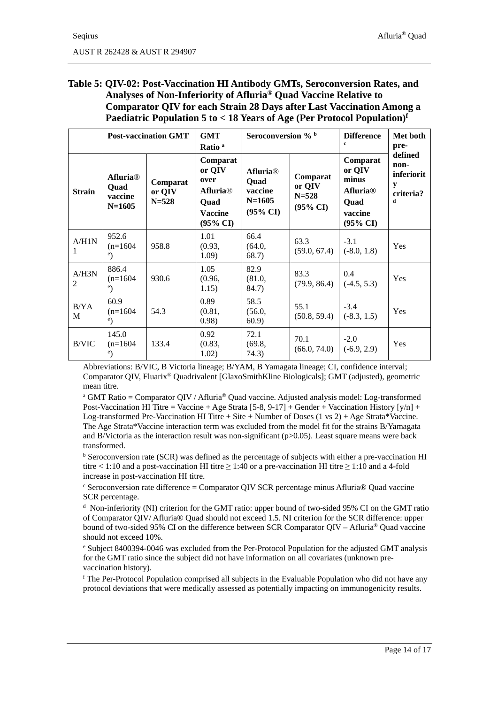#### <span id="page-13-0"></span>**Table 5: QIV-02: Post-Vaccination HI Antibody GMTs, Seroconversion Rates, and Analyses of Non-Inferiority of Afluria® Quad Vaccine Relative to Comparator QIV for each Strain 28 Days after Last Vaccination Among a Paediatric Population 5 to < 18 Years of Age (Per Protocol Population)f**

|               | <b>GMT</b><br><b>Post-vaccination GMT</b><br>Ratio <sup>a</sup> |                                 | Seroconversion % b                                                                                         |                                                                                     | <b>Difference</b><br>$\mathbf{c}$                      | Met both<br>pre-                                                                         |                                                      |
|---------------|-----------------------------------------------------------------|---------------------------------|------------------------------------------------------------------------------------------------------------|-------------------------------------------------------------------------------------|--------------------------------------------------------|------------------------------------------------------------------------------------------|------------------------------------------------------|
| <b>Strain</b> | <b>Afluria</b> <sup>®</sup><br>Quad<br>vaccine<br>$N = 1605$    | Comparat<br>or QIV<br>$N = 528$ | Comparat<br>or QIV<br>over<br><b>Afluria</b> <sup>®</sup><br>Ouad<br><b>Vaccine</b><br>$(95\% \text{ CI})$ | <b>Afluria</b> <sup>®</sup><br>Quad<br>vaccine<br>$N = 1605$<br>$(95\% \text{ CI})$ | Comparat<br>or QIV<br>$N = 528$<br>$(95\% \text{ CI})$ | Comparat<br>or QIV<br>minus<br><b>Afluria®</b><br>Ouad<br>vaccine<br>$(95\% \text{ CI})$ | defined<br>non-<br>inferiorit<br>y<br>criteria?<br>d |
| A/H1N<br>1    | 952.6<br>$(n=1604)$<br>$^{\circ}$ )                             | 958.8                           | 1.01<br>(0.93,<br>1.09)                                                                                    | 66.4<br>(64.0,<br>68.7)                                                             | 63.3<br>(59.0, 67.4)                                   | $-3.1$<br>$(-8.0, 1.8)$                                                                  | Yes                                                  |
| A/H3N<br>2    | 886.4<br>$(n=1604)$<br>e)                                       | 930.6                           | 1.05<br>(0.96,<br>1.15)                                                                                    | 82.9<br>(81.0,<br>84.7)                                                             | 83.3<br>(79.9, 86.4)                                   | 0.4<br>$(-4.5, 5.3)$                                                                     | Yes                                                  |
| B/YA<br>M     | 60.9<br>$(n=1604)$<br>e)                                        | 54.3                            | 0.89<br>(0.81,<br>(0.98)                                                                                   | 58.5<br>(56.0,<br>60.9                                                              | 55.1<br>(50.8, 59.4)                                   | $-3.4$<br>$(-8.3, 1.5)$                                                                  | Yes                                                  |
| B/VIC         | 145.0<br>$(n=1604)$<br>$^e)$                                    | 133.4                           | 0.92<br>(0.83,<br>1.02)                                                                                    | 72.1<br>(69.8,<br>74.3)                                                             | 70.1<br>(66.0, 74.0)                                   | $-2.0$<br>$(-6.9, 2.9)$                                                                  | Yes                                                  |

Abbreviations: B/VIC, B Victoria lineage; B/YAM, B Yamagata lineage; CI, confidence interval; Comparator QIV, Fluarix® Quadrivalent [GlaxoSmithKline Biologicals]; GMT (adjusted), geometric mean titre.

<sup>a</sup> GMT Ratio = Comparator QIV / Afluria® Quad vaccine. Adjusted analysis model: Log-transformed Post-Vaccination HI Titre = Vaccine + Age Strata [5-8, 9-17] + Gender + Vaccination History  $[y/n]$  + Log-transformed Pre-Vaccination HI Titre + Site + Number of Doses  $(1 \text{ vs } 2)$  + Age Strata\*Vaccine. The Age Strata\*Vaccine interaction term was excluded from the model fit for the strains B/Yamagata and B/Victoria as the interaction result was non-significant  $(p>0.05)$ . Least square means were back transformed.

<sup>b</sup> Seroconversion rate (SCR) was defined as the percentage of subjects with either a pre-vaccination HI titre < 1:10 and a post-vaccination HI titre  $\geq$  1:40 or a pre-vaccination HI titre  $\geq$  1:10 and a 4-fold increase in post-vaccination HI titre.

<sup>c</sup> Seroconversion rate difference = Comparator QIV SCR percentage minus Afluria® Quad vaccine SCR percentage.

<sup>d</sup> Non-inferiority (NI) criterion for the GMT ratio: upper bound of two-sided 95% CI on the GMT ratio of Comparator QIV/ Afluria® Quad should not exceed 1.5. NI criterion for the SCR difference: upper bound of two-sided 95% CI on the difference between SCR Comparator QIV – Afluria® Quad vaccine should not exceed 10%.

<sup>e</sup> Subject 8400394-0046 was excluded from the Per-Protocol Population for the adjusted GMT analysis for the GMT ratio since the subject did not have information on all covariates (unknown prevaccination history).

<sup>f</sup> The Per-Protocol Population comprised all subjects in the Evaluable Population who did not have any protocol deviations that were medically assessed as potentially impacting on immunogenicity results.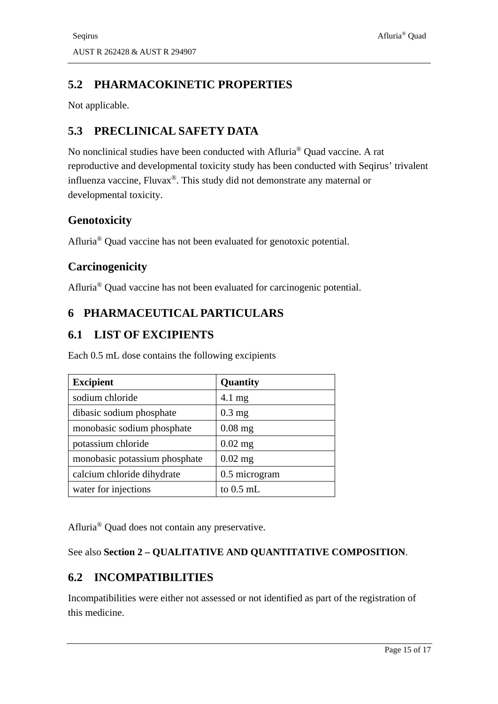# **5.2 PHARMACOKINETIC PROPERTIES**

Not applicable.

# **5.3 PRECLINICAL SAFETY DATA**

No nonclinical studies have been conducted with Afluria® Quad vaccine. A rat reproductive and developmental toxicity study has been conducted with Seqirus' trivalent influenza vaccine, Fluvax®. This study did not demonstrate any maternal or developmental toxicity.

### **Genotoxicity**

Afluria® Quad vaccine has not been evaluated for genotoxic potential.

### **Carcinogenicity**

Afluria® Quad vaccine has not been evaluated for carcinogenic potential.

# **6 PHARMACEUTICAL PARTICULARS**

### <span id="page-14-0"></span>**6.1 LIST OF EXCIPIENTS**

Each 0.5 mL dose contains the following excipients

| <b>Excipient</b>              | Quantity         |
|-------------------------------|------------------|
| sodium chloride               | $4.1 \text{ mg}$ |
| dibasic sodium phosphate      | $0.3$ mg         |
| monobasic sodium phosphate    | $0.08$ mg        |
| potassium chloride            | $0.02$ mg        |
| monobasic potassium phosphate | $0.02$ mg        |
| calcium chloride dihydrate    | 0.5 microgram    |
| water for injections          | to $0.5$ mL      |

Afluria® Quad does not contain any preservative.

#### See also **Section 2 – [QUALITATIVE AND QUANTITATIVE COMPOSITION](#page-0-0)**.

# **6.2 INCOMPATIBILITIES**

Incompatibilities were either not assessed or not identified as part of the registration of this medicine.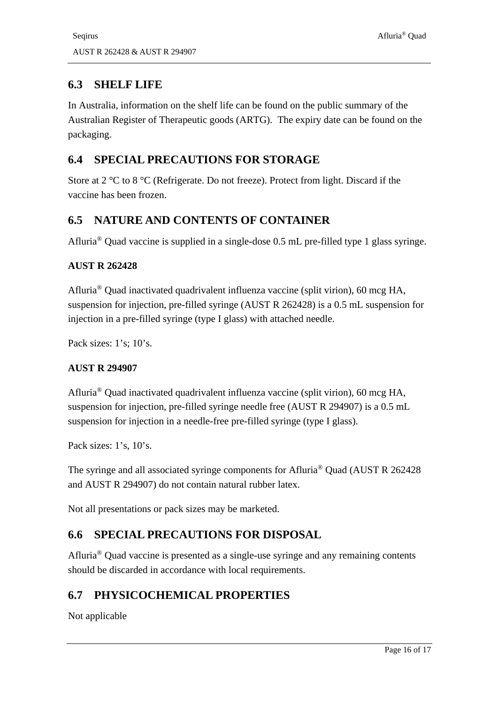# **6.3 SHELF LIFE**

In Australia, information on the shelf life can be found on the public summary of the Australian Register of Therapeutic goods (ARTG). The expiry date can be found on the packaging.

# **6.4 SPECIAL PRECAUTIONS FOR STORAGE**

Store at 2 °C to 8 °C (Refrigerate. Do not freeze). Protect from light. Discard if the vaccine has been frozen.

# **6.5 NATURE AND CONTENTS OF CONTAINER**

Afluria® Quad vaccine is supplied in a single-dose 0.5 mL pre-filled type 1 glass syringe.

### **AUST R 262428**

Afluria® Quad inactivated quadrivalent influenza vaccine (split virion), 60 mcg HA, suspension for injection, pre-filled syringe (AUST R 262428) is a 0.5 mL suspension for injection in a pre-filled syringe (type I glass) with attached needle.

Pack sizes: 1's: 10's.

#### **AUST R 294907**

Afluria® Quad inactivated quadrivalent influenza vaccine (split virion), 60 mcg HA, suspension for injection, pre-filled syringe needle free (AUST R 294907) is a 0.5 mL suspension for injection in a needle-free pre-filled syringe (type I glass).

Pack sizes: 1's, 10's.

The syringe and all associated syringe components for Afluria® Quad (AUST R 262428 and AUST R 294907) do not contain natural rubber latex.

Not all presentations or pack sizes may be marketed.

# **6.6 SPECIAL PRECAUTIONS FOR DISPOSAL**

Afluria® Quad vaccine is presented as a single-use syringe and any remaining contents should be discarded in accordance with local requirements.

# **6.7 PHYSICOCHEMICAL PROPERTIES**

Not applicable